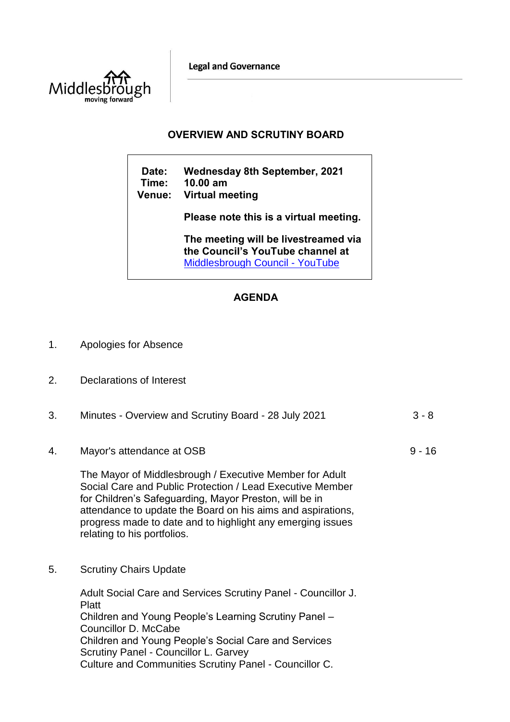**Legal and Governance** 



## **OVERVIEW AND SCRUTINY BOARD**

| Date:<br>Time:<br><b>Venue:</b> | <b>Wednesday 8th September, 2021</b><br>$10.00$ am<br>Virtual meeting                                       |
|---------------------------------|-------------------------------------------------------------------------------------------------------------|
|                                 | Please note this is a virtual meeting.                                                                      |
|                                 | The meeting will be livestreamed via<br>the Council's YouTube channel at<br>Middlesbrough Council - YouTube |

## **AGENDA**

- 1. Apologies for Absence
- 2. Declarations of Interest

| 3. | Minutes - Overview and Scrutiny Board - 28 July 2021 | -3 - 8 |
|----|------------------------------------------------------|--------|
|    |                                                      |        |
|    |                                                      |        |

 $9 - 16$ 

4. Mayor's attendance at OSB

The Mayor of Middlesbrough / Executive Member for Adult Social Care and Public Protection / Lead Executive Member for Children's Safeguarding, Mayor Preston, will be in attendance to update the Board on his aims and aspirations, progress made to date and to highlight any emerging issues relating to his portfolios.

5. Scrutiny Chairs Update

Adult Social Care and Services Scrutiny Panel - Councillor J. Platt Children and Young People's Learning Scrutiny Panel – Councillor D. McCabe Children and Young People's Social Care and Services Scrutiny Panel - Councillor L. Garvey Culture and Communities Scrutiny Panel - Councillor C.